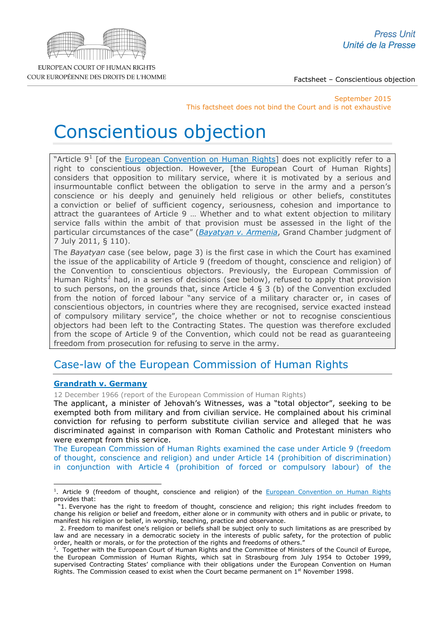

Factsheet – Conscientious objection

September 2015 This factsheet does not bind the Court and is not exhaustive

# Conscientious objection

"Article  $9^1$  $9^1$  [of the [European Convention on Human Rights\]](http://www.echr.coe.int/Documents/Convention_ENG.pdf) does not explicitly refer to a right to conscientious objection. However, [the European Court of Human Rights] considers that opposition to military service, where it is motivated by a serious and insurmountable conflict between the obligation to serve in the army and a person's conscience or his deeply and genuinely held religious or other beliefs, constitutes a conviction or belief of sufficient cogency, seriousness, cohesion and importance to attract the guarantees of Article 9 … Whether and to what extent objection to military service falls within the ambit of that provision must be assessed in the light of the particular circumstances of the case" (*[Bayatyan v. Armenia](http://hudoc.echr.coe.int/sites/eng/pages/search.aspx?i=001-105611)*, Grand Chamber judgment of 7 July 2011, § 110).

The *Bayatyan* case (see below, page 3) is the first case in which the Court has examined the issue of the applicability of Article 9 (freedom of thought, conscience and religion) of the Convention to conscientious objectors. Previously, the European Commission of Human Rights<sup>[2](#page-0-1)</sup> had, in a series of decisions (see below), refused to apply that provision to such persons, on the grounds that, since Article 4  $\S$  3 (b) of the Convention excluded from the notion of forced labour "any service of a military character or, in cases of conscientious objectors, in countries where they are recognised, service exacted instead of compulsory military service", the choice whether or not to recognise conscientious objectors had been left to the Contracting States. The question was therefore excluded from the scope of Article 9 of the Convention, which could not be read as guaranteeing freedom from prosecution for refusing to serve in the army.

# Case-law of the European Commission of Human Rights

# **[Grandrath v.](http://hudoc.echr.coe.int/sites/eng/pages/search.aspx?i=001-73650) Germany**

12 December 1966 (report of the European Commission of Human Rights)

The applicant, a minister of Jehovah's Witnesses, was a "total objector", seeking to be exempted both from military and from civilian service. He complained about his criminal conviction for refusing to perform substitute civilian service and alleged that he was discriminated against in comparison with Roman Catholic and Protestant ministers who were exempt from this service.

The European Commission of Human Rights examined the case under Article 9 (freedom of thought, conscience and religion) and under Article 14 (prohibition of discrimination) in conjunction with Article 4 (prohibition of forced or compulsory labour) of the

<span id="page-0-0"></span><sup>&</sup>lt;sup>1</sup>. Article 9 (freedom of thought, conscience and religion) of the [European Convention on Human Rights](http://www.echr.coe.int/Documents/Convention_ENG.pdf) provides that: -

 <sup>&</sup>quot;1. Everyone has the right to freedom of thought, conscience and religion; this right includes freedom to change his religion or belief and freedom, either alone or in community with others and in public or private, to manifest his religion or belief, in worship, teaching, practice and observance.

 <sup>2.</sup> Freedom to manifest one's religion or beliefs shall be subject only to such limitations as are prescribed by law and are necessary in a democratic society in the interests of public safety, for the protection of public order, health or morals, or for the protection of the rights and freedoms of others."

<span id="page-0-1"></span><sup>&</sup>lt;sup>2</sup>. Together with the European Court of Human Rights and the Committee of Ministers of the Council of Europe, the European Commission of Human Rights, which sat in Strasbourg from July 1954 to October 1999, supervised Contracting States' compliance with their obligations under the European Convention on Human Rights. The Commission ceased to exist when the Court became permanent on  $1<sup>st</sup>$  November 1998.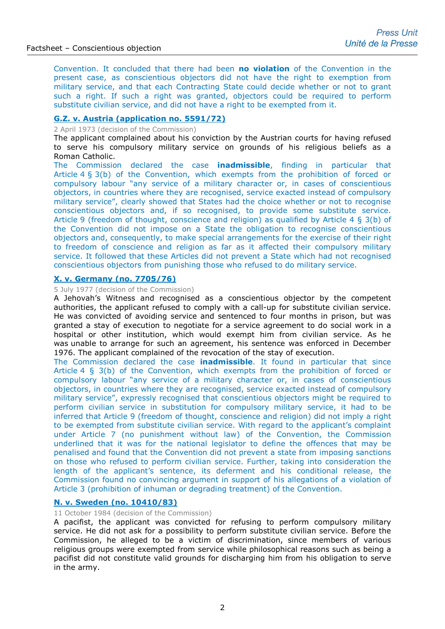Convention. It concluded that there had been **no violation** of the Convention in the present case, as conscientious objectors did not have the right to exemption from military service, and that each Contracting State could decide whether or not to grant such a right. If such a right was granted, objectors could be required to perform substitute civilian service, and did not have a right to be exempted from it.

### **G.Z. [v. Austria \(application no. 5591/72\)](http://cmiskp.echr.coe.int/tkp197/view.asp?action=open&documentId=873819&portal=hbkm&source=externalbydocnumber&table=F69A27FD8FB86142BF01C1166DEA398649)**

2 April 1973 (decision of the Commission)

The applicant complained about his conviction by the Austrian courts for having refused to serve his compulsory military service on grounds of his religious beliefs as a Roman Catholic.

The Commission declared the case **inadmissible**, finding in particular that Article 4 § 3(b) of the Convention, which exempts from the prohibition of forced or compulsory labour "any service of a military character or, in cases of conscientious objectors, in countries where they are recognised, service exacted instead of compulsory military service", clearly showed that States had the choice whether or not to recognise conscientious objectors and, if so recognised, to provide some substitute service. Article 9 (freedom of thought, conscience and religion) as qualified by Article 4 § 3(b) of the Convention did not impose on a State the obligation to recognise conscientious objectors and, consequently, to make special arrangements for the exercise of their right to freedom of conscience and religion as far as it affected their compulsory military service. It followed that these Articles did not prevent a State which had not recognised conscientious objectors from punishing those who refused to do military service.

#### **[X. v. Germany \(no. 7705/76\)](http://cmiskp.echr.coe.int/tkp197/view.asp?action=open&documentId=804385&portal=hbkm&source=externalbydocnumber&table=F69A27FD8FB86142BF01C1166DEA398649)**

#### 5 July 1977 (decision of the Commission)

A Jehovah's Witness and recognised as a conscientious objector by the competent authorities, the applicant refused to comply with a call-up for substitute civilian service. He was convicted of avoiding service and sentenced to four months in prison, but was granted a stay of execution to negotiate for a service agreement to do social work in a hospital or other institution, which would exempt him from civilian service. As he was unable to arrange for such an agreement, his sentence was enforced in December 1976. The applicant complained of the revocation of the stay of execution.

The Commission declared the case **inadmissible**. It found in particular that since Article 4 § 3(b) of the Convention, which exempts from the prohibition of forced or compulsory labour "any service of a military character or, in cases of conscientious objectors, in countries where they are recognised, service exacted instead of compulsory military service", expressly recognised that conscientious objectors might be required to perform civilian service in substitution for compulsory military service, it had to be inferred that Article 9 (freedom of thought, conscience and religion) did not imply a right to be exempted from substitute civilian service. With regard to the applicant's complaint under Article 7 (no punishment without law) of the Convention, the Commission underlined that it was for the national legislator to define the offences that may be penalised and found that the Convention did not prevent a state from imposing sanctions on those who refused to perform civilian service. Further, taking into consideration the length of the applicant's sentence, its deferment and his conditional release, the Commission found no convincing argument in support of his allegations of a violation of Article 3 (prohibition of inhuman or degrading treatment) of the Convention.

## **[N. v. Sweden \(no. 10410/83\)](http://cmiskp.echr.coe.int/tkp197/view.asp?action=open&documentId=804567&portal=hbkm&source=externalbydocnumber&table=F69A27FD8FB86142BF01C1166DEA398649)**

11 October 1984 (decision of the Commission)

A pacifist, the applicant was convicted for refusing to perform compulsory military service. He did not ask for a possibility to perform substitute civilian service. Before the Commission, he alleged to be a victim of discrimination, since members of various religious groups were exempted from service while philosophical reasons such as being a pacifist did not constitute valid grounds for discharging him from his obligation to serve in the army.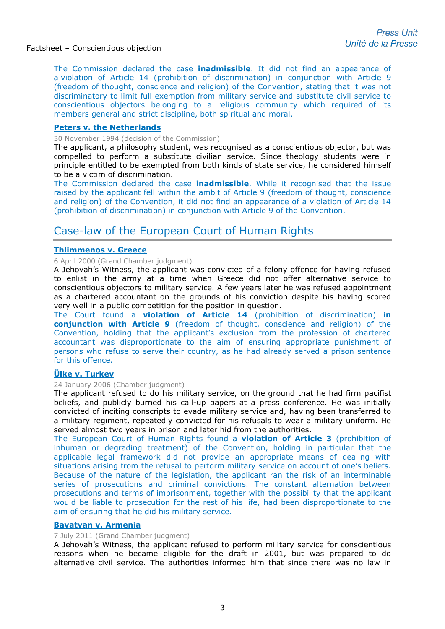The Commission declared the case **inadmissible**. It did not find an appearance of a violation of Article 14 (prohibition of discrimination) in conjunction with Article 9 (freedom of thought, conscience and religion) of the Convention, stating that it was not discriminatory to limit full exemption from military service and substitute civil service to conscientious objectors belonging to a religious community which required of its members general and strict discipline, both spiritual and moral.

### **[Peters v. the Netherlands](http://cmiskp.echr.coe.int/tkp197/view.asp?action=html&documentId=666594&portal=hbkm&source=externalbydocnumber&table=F69A27FD8FB86142BF01C1166DEA398649)**

30 November 1994 (decision of the Commission)

The applicant, a philosophy student, was recognised as a conscientious objector, but was compelled to perform a substitute civilian service. Since theology students were in principle entitled to be exempted from both kinds of state service, he considered himself to be a victim of discrimination.

The Commission declared the case **inadmissible**. While it recognised that the issue raised by the applicant fell within the ambit of Article 9 (freedom of thought, conscience and religion) of the Convention, it did not find an appearance of a violation of Article 14 (prohibition of discrimination) in conjunction with Article 9 of the Convention.

# Case-law of the European Court of Human Rights

# **[Thlimmenos v. Greece](http://cmiskp.echr.coe.int/tkp197/view.asp?action=html&documentId=696438&portal=hbkm&source=externalbydocnumber&table=F69A27FD8FB86142BF01C1166DEA398649)**

#### 6 April 2000 (Grand Chamber judgment)

A Jehovah's Witness, the applicant was convicted of a felony offence for having refused to enlist in the army at a time when Greece did not offer alternative service to conscientious objectors to military service. A few years later he was refused appointment as a chartered accountant on the grounds of his conviction despite his having scored very well in a public competition for the position in question.

The Court found a **violation of Article 14** (prohibition of discrimination) **in conjunction with Article 9** (freedom of thought, conscience and religion) of the Convention, holding that the applicant's exclusion from the profession of chartered accountant was disproportionate to the aim of ensuring appropriate punishment of persons who refuse to serve their country, as he had already served a prison sentence for this offence.

# **[Ülke v. Turkey](http://hudoc.echr.coe.int/sites/eng-press/pages/search.aspx?i=003-1567919-1641153)**

#### 24 January 2006 (Chamber judgment)

The applicant refused to do his military service, on the ground that he had firm pacifist beliefs, and publicly burned his call-up papers at a press conference. He was initially convicted of inciting conscripts to evade military service and, having been transferred to a military regiment, repeatedly convicted for his refusals to wear a military uniform. He served almost two years in prison and later hid from the authorities.

The European Court of Human Rights found a **violation of Article 3** (prohibition of inhuman or degrading treatment) of the Convention, holding in particular that the applicable legal framework did not provide an appropriate means of dealing with situations arising from the refusal to perform military service on account of one's beliefs. Because of the nature of the legislation, the applicant ran the risk of an interminable series of prosecutions and criminal convictions. The constant alternation between prosecutions and terms of imprisonment, together with the possibility that the applicant would be liable to prosecution for the rest of his life, had been disproportionate to the aim of ensuring that he did his military service.

### **[Bayatyan v. Armenia](http://hudoc.echr.coe.int/sites/eng-press/pages/search.aspx?i=003-3601158-4079259)**

#### 7 July 2011 (Grand Chamber judgment)

A Jehovah's Witness, the applicant refused to perform military service for conscientious reasons when he became eligible for the draft in 2001, but was prepared to do alternative civil service. The authorities informed him that since there was no law in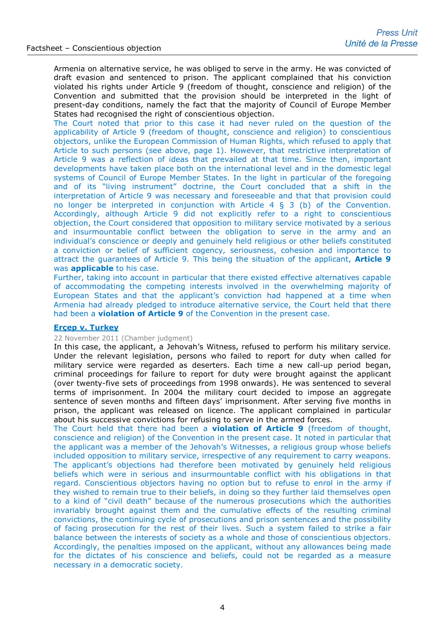Armenia on alternative service, he was obliged to serve in the army. He was convicted of draft evasion and sentenced to prison. The applicant complained that his conviction violated his rights under Article 9 (freedom of thought, conscience and religion) of the Convention and submitted that the provision should be interpreted in the light of present-day conditions, namely the fact that the majority of Council of Europe Member States had recognised the right of conscientious objection.

The Court noted that prior to this case it had never ruled on the question of the applicability of Article 9 (freedom of thought, conscience and religion) to conscientious objectors, unlike the European Commission of Human Rights, which refused to apply that Article to such persons (see above, page 1). However, that restrictive interpretation of Article 9 was a reflection of ideas that prevailed at that time. Since then, important developments have taken place both on the international level and in the domestic legal systems of Council of Europe Member States. In the light in particular of the foregoing and of its "living instrument" doctrine, the Court concluded that a shift in the interpretation of Article 9 was necessary and foreseeable and that that provision could no longer be interpreted in conjunction with Article 4 § 3 (b) of the Convention. Accordingly, although Article 9 did not explicitly refer to a right to conscientious objection, the Court considered that opposition to military service motivated by a serious and insurmountable conflict between the obligation to serve in the army and an individual's conscience or deeply and genuinely held religious or other beliefs constituted a conviction or belief of sufficient cogency, seriousness, cohesion and importance to attract the guarantees of Article 9. This being the situation of the applicant, **Article 9**  was **applicable** to his case.

Further, taking into account in particular that there existed effective alternatives capable of accommodating the competing interests involved in the overwhelming majority of European States and that the applicant's conviction had happened at a time when Armenia had already pledged to introduce alternative service, the Court held that there had been a **violation of Article 9** of the Convention in the present case.

### **[Erçep v. Turkey](http://hudoc.echr.coe.int/sites/eng-press/pages/search.aspx?i=003-3751706-4284157)**

#### 22 November 2011 (Chamber judgment)

In this case, the applicant, a Jehovah's Witness, refused to perform his military service. Under the relevant legislation, persons who failed to report for duty when called for military service were regarded as deserters. Each time a new call-up period began, criminal proceedings for failure to report for duty were brought against the applicant (over twenty-five sets of proceedings from 1998 onwards). He was sentenced to several terms of imprisonment. In 2004 the military court decided to impose an aggregate sentence of seven months and fifteen days' imprisonment. After serving five months in prison, the applicant was released on licence. The applicant complained in particular about his successive convictions for refusing to serve in the armed forces.

The Court held that there had been a **violation of Article 9** (freedom of thought, conscience and religion) of the Convention in the present case. It noted in particular that the applicant was a member of the Jehovah's Witnesses, a religious group whose beliefs included opposition to military service, irrespective of any requirement to carry weapons. The applicant's objections had therefore been motivated by genuinely held religious beliefs which were in serious and insurmountable conflict with his obligations in that regard. Conscientious objectors having no option but to refuse to enrol in the army if they wished to remain true to their beliefs, in doing so they further laid themselves open to a kind of "civil death" because of the numerous prosecutions which the authorities invariably brought against them and the cumulative effects of the resulting criminal convictions, the continuing cycle of prosecutions and prison sentences and the possibility of facing prosecution for the rest of their lives. Such a system failed to strike a fair balance between the interests of society as a whole and those of conscientious objectors. Accordingly, the penalties imposed on the applicant, without any allowances being made for the dictates of his conscience and beliefs, could not be regarded as a measure necessary in a democratic society.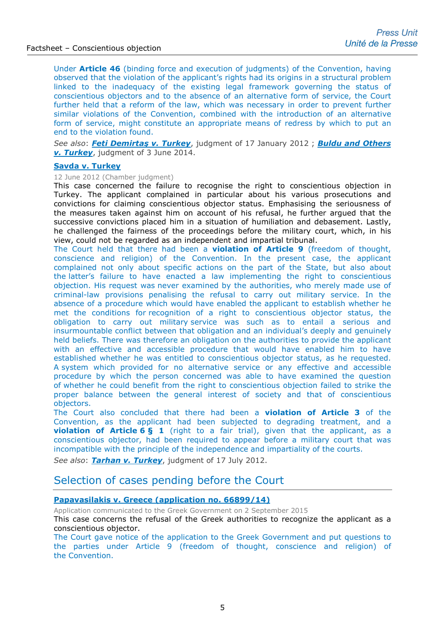Under **Article 46** (binding force and execution of judgments) of the Convention, having observed that the violation of the applicant's rights had its origins in a structural problem linked to the inadequacy of the existing legal framework governing the status of conscientious objectors and to the absence of an alternative form of service, the Court further held that a reform of the law, which was necessary in order to prevent further similar violations of the Convention, combined with the introduction of an alternative form of service, might constitute an appropriate means of redress by which to put an end to the violation found.

*See also*: *[Feti Demirtaş v. Turkey](http://hudoc.echr.coe.int/sites/eng/pages/search.aspx?i=002-5)*, judgment of 17 January 2012 ; *[Buldu and Others](http://hudoc.echr.coe.int/sites/eng/pages/search.aspx?i=001-144814)  [v. Turkey](http://hudoc.echr.coe.int/sites/eng/pages/search.aspx?i=001-144814)*, judgment of 3 June 2014.

#### **[Savda v. Turkey](http://hudoc.echr.coe.int/sites/eng-press/pages/search.aspx?i=003-3980699-4625431)**

## 12 June 2012 (Chamber judgment)

This case concerned the failure to recognise the right to conscientious objection in Turkey. The applicant complained in particular about his various prosecutions and convictions for claiming conscientious objector status. Emphasising the seriousness of the measures taken against him on account of his refusal, he further argued that the successive convictions placed him in a situation of humiliation and debasement. Lastly, he challenged the fairness of the proceedings before the military court, which, in his view, could not be regarded as an independent and impartial tribunal.

The Court held that there had been a **violation of Article 9** (freedom of thought, conscience and religion) of the Convention. In the present case, the applicant complained not only about specific actions on the part of the State, but also about the latter's failure to have enacted a law implementing the right to conscientious objection. His request was never examined by the authorities, who merely made use of criminal-law provisions penalising the refusal to carry out military service. In the absence of a procedure which would have enabled the applicant to establish whether he met the conditions for recognition of a right to conscientious objector status, the obligation to carry out military service was such as to entail a serious and insurmountable conflict between that obligation and an individual's deeply and genuinely held beliefs. There was therefore an obligation on the authorities to provide the applicant with an effective and accessible procedure that would have enabled him to have established whether he was entitled to conscientious objector status, as he requested. A system which provided for no alternative service or any effective and accessible procedure by which the person concerned was able to have examined the question of whether he could benefit from the right to conscientious objection failed to strike the proper balance between the general interest of society and that of conscientious objectors.

The Court also concluded that there had been a **violation of Article 3** of the Convention, as the applicant had been subjected to degrading treatment, and a **violation of Article 6 § 1** (right to a fair trial), given that the applicant, as a conscientious objector, had been required to appear before a military court that was incompatible with the principle of the independence and impartiality of the courts.

*See also*: *[Tarhan v. Turkey](http://hudoc.echr.coe.int/sites/eng/pages/search.aspx?i=001-112211)*, judgment of 17 July 2012.

# Selection of cases pending before the Court

### **[Papavasilakis v. Greece \(application no.](http://hudoc.echr.coe.int/eng?i=001-157460) 66899/14)**

Application communicated to the Greek Government on 2 September 2015 This case concerns the refusal of the Greek authorities to recognize the applicant as a conscientious objector.

The Court gave notice of the application to the Greek Government and put questions to the parties under Article 9 (freedom of thought, conscience and religion) of the Convention.